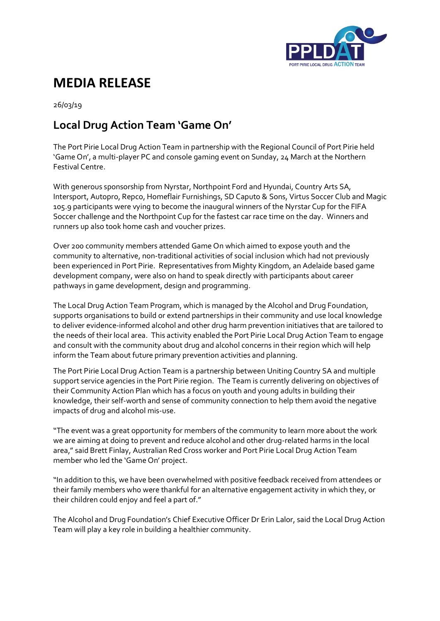

## **MEDIA RELEASE**

26/03/19

## **Local Drug Action Team 'Game On'**

The Port Pirie Local Drug Action Team in partnership with the Regional Council of Port Pirie held 'Game On', a multi-player PC and console gaming event on Sunday, 24 March at the Northern Festival Centre.

With generous sponsorship from Nyrstar, Northpoint Ford and Hyundai, Country Arts SA, Intersport, Autopro, Repco, Homeflair Furnishings, SD Caputo & Sons, Virtus Soccer Club and Magic 105.9 participants were vying to become the inaugural winners of the Nyrstar Cup for the FIFA Soccer challenge and the Northpoint Cup for the fastest car race time on the day. Winners and runners up also took home cash and voucher prizes.

Over 200 community members attended Game On which aimed to expose youth and the community to alternative, non-traditional activities of social inclusion which had not previously been experienced in Port Pirie. Representatives from Mighty Kingdom, an Adelaide based game development company, were also on hand to speak directly with participants about career pathways in game development, design and programming.

The Local Drug Action Team Program, which is managed by the Alcohol and Drug Foundation, supports organisations to build or extend partnerships in their community and use local knowledge to deliver evidence-informed alcohol and other drug harm prevention initiatives that are tailored to the needs of their local area. This activity enabled the Port Pirie Local Drug Action Team to engage and consult with the community about drug and alcohol concerns in their region which will help inform the Team about future primary prevention activities and planning.

The Port Pirie Local Drug Action Team is a partnership between Uniting Country SA and multiple support service agencies in the Port Pirie region. The Team is currently delivering on objectives of their Community Action Plan which has a focus on youth and young adults in building their knowledge, their self-worth and sense of community connection to help them avoid the negative impacts of drug and alcohol mis-use.

"The event was a great opportunity for members of the community to learn more about the work we are aiming at doing to prevent and reduce alcohol and other drug-related harms in the local area," said Brett Finlay, Australian Red Cross worker and Port Pirie Local Drug Action Team member who led the 'Game On' project.

"In addition to this, we have been overwhelmed with positive feedback received from attendees or their family members who were thankful for an alternative engagement activity in which they, or their children could enjoy and feel a part of."

The Alcohol and Drug Foundation's Chief Executive Officer Dr Erin Lalor, said the Local Drug Action Team will play a key role in building a healthier community.